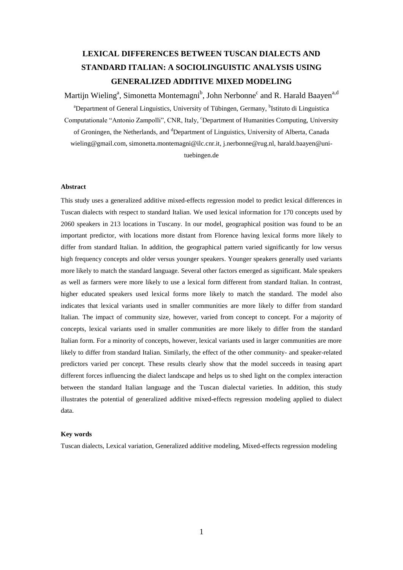# **LEXICAL DIFFERENCES BETWEEN TUSCAN DIALECTS AND STANDARD ITALIAN: A SOCIOLINGUISTIC ANALYSIS USING GENERALIZED ADDITIVE MIXED MODELING**

# Martijn Wieling<sup>a</sup>, Simonetta Montemagni<sup>b</sup>, John Nerbonne<sup>c</sup> and R. Harald Baayen<sup>a,d</sup>

<sup>a</sup>Department of General Linguistics, University of Tübingen, Germany, <sup>b</sup>Istituto di Linguistica Computationale "Antonio Zampolli", CNR, Italy, "Department of Humanities Computing, University of Groningen, the Netherlands, and <sup>d</sup>Department of Linguistics, University of Alberta, Canada wieling@gmail.com, simonetta.montemagni@ilc.cnr.it, j.nerbonne@rug.nl, harald.baayen@unituebingen.de

#### **Abstract**

This study uses a generalized additive mixed-effects regression model to predict lexical differences in Tuscan dialects with respect to standard Italian. We used lexical information for 170 concepts used by 2060 speakers in 213 locations in Tuscany. In our model, geographical position was found to be an important predictor, with locations more distant from Florence having lexical forms more likely to differ from standard Italian. In addition, the geographical pattern varied significantly for low versus high frequency concepts and older versus younger speakers. Younger speakers generally used variants more likely to match the standard language. Several other factors emerged as significant. Male speakers as well as farmers were more likely to use a lexical form different from standard Italian. In contrast, higher educated speakers used lexical forms more likely to match the standard. The model also indicates that lexical variants used in smaller communities are more likely to differ from standard Italian. The impact of community size, however, varied from concept to concept. For a majority of concepts, lexical variants used in smaller communities are more likely to differ from the standard Italian form. For a minority of concepts, however, lexical variants used in larger communities are more likely to differ from standard Italian. Similarly, the effect of the other community- and speaker-related predictors varied per concept. These results clearly show that the model succeeds in teasing apart different forces influencing the dialect landscape and helps us to shed light on the complex interaction between the standard Italian language and the Tuscan dialectal varieties. In addition, this study illustrates the potential of generalized additive mixed-effects regression modeling applied to dialect data.

#### **Key words**

Tuscan dialects, Lexical variation, Generalized additive modeling, Mixed-effects regression modeling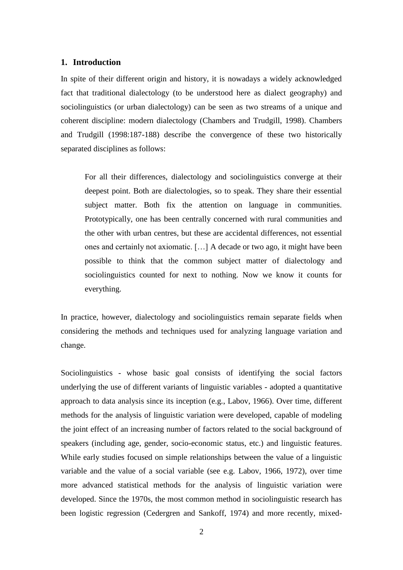#### **1. Introduction**

In spite of their different origin and history, it is nowadays a widely acknowledged fact that traditional dialectology (to be understood here as dialect geography) and sociolinguistics (or urban dialectology) can be seen as two streams of a unique and coherent discipline: modern dialectology (Chambers and Trudgill, 1998). Chambers and Trudgill (1998:187-188) describe the convergence of these two historically separated disciplines as follows:

For all their differences, dialectology and sociolinguistics converge at their deepest point. Both are dialectologies, so to speak. They share their essential subject matter. Both fix the attention on language in communities. Prototypically, one has been centrally concerned with rural communities and the other with urban centres, but these are accidental differences, not essential ones and certainly not axiomatic. […] A decade or two ago, it might have been possible to think that the common subject matter of dialectology and sociolinguistics counted for next to nothing. Now we know it counts for everything.

In practice, however, dialectology and sociolinguistics remain separate fields when considering the methods and techniques used for analyzing language variation and change.

Sociolinguistics - whose basic goal consists of identifying the social factors underlying the use of different variants of linguistic variables - adopted a quantitative approach to data analysis since its inception (e.g., Labov, 1966). Over time, different methods for the analysis of linguistic variation were developed, capable of modeling the joint effect of an increasing number of factors related to the social background of speakers (including age, gender, socio-economic status, etc.) and linguistic features. While early studies focused on simple relationships between the value of a linguistic variable and the value of a social variable (see e.g. Labov, 1966, 1972), over time more advanced statistical methods for the analysis of linguistic variation were developed. Since the 1970s, the most common method in sociolinguistic research has been logistic regression (Cedergren and Sankoff, 1974) and more recently, mixed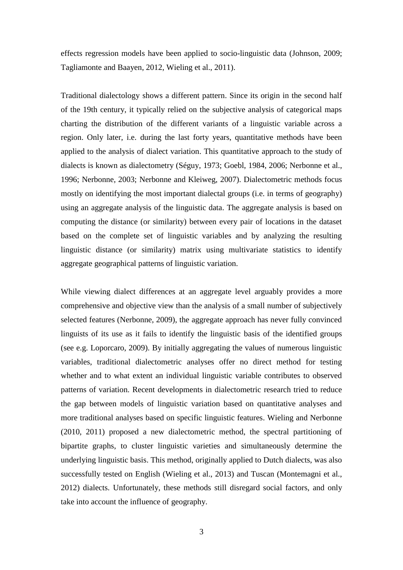effects regression models have been applied to socio-linguistic data (Johnson, 2009; Tagliamonte and Baayen, 2012, Wieling et al., 2011).

Traditional dialectology shows a different pattern. Since its origin in the second half of the 19th century, it typically relied on the subjective analysis of categorical maps charting the distribution of the different variants of a linguistic variable across a region. Only later, i.e. during the last forty years, quantitative methods have been applied to the analysis of dialect variation. This quantitative approach to the study of dialects is known as dialectometry (Séguy, 1973; Goebl, 1984, 2006; Nerbonne et al., 1996; Nerbonne, 2003; Nerbonne and Kleiweg, 2007). Dialectometric methods focus mostly on identifying the most important dialectal groups (i.e. in terms of geography) using an aggregate analysis of the linguistic data. The aggregate analysis is based on computing the distance (or similarity) between every pair of locations in the dataset based on the complete set of linguistic variables and by analyzing the resulting linguistic distance (or similarity) matrix using multivariate statistics to identify aggregate geographical patterns of linguistic variation.

While viewing dialect differences at an aggregate level arguably provides a more comprehensive and objective view than the analysis of a small number of subjectively selected features (Nerbonne, 2009), the aggregate approach has never fully convinced linguists of its use as it fails to identify the linguistic basis of the identified groups (see e.g. Loporcaro, 2009). By initially aggregating the values of numerous linguistic variables, traditional dialectometric analyses offer no direct method for testing whether and to what extent an individual linguistic variable contributes to observed patterns of variation. Recent developments in dialectometric research tried to reduce the gap between models of linguistic variation based on quantitative analyses and more traditional analyses based on specific linguistic features. Wieling and Nerbonne (2010, 2011) proposed a new dialectometric method, the spectral partitioning of bipartite graphs, to cluster linguistic varieties and simultaneously determine the underlying linguistic basis. This method, originally applied to Dutch dialects, was also successfully tested on English (Wieling et al., 2013) and Tuscan (Montemagni et al., 2012) dialects. Unfortunately, these methods still disregard social factors, and only take into account the influence of geography.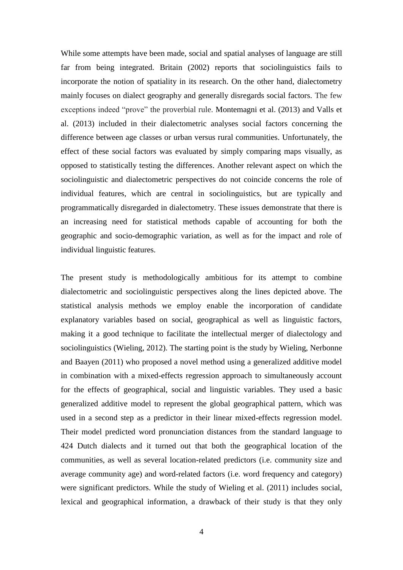While some attempts have been made, social and spatial analyses of language are still far from being integrated. Britain (2002) reports that sociolinguistics fails to incorporate the notion of spatiality in its research. On the other hand, dialectometry mainly focuses on dialect geography and generally disregards social factors. The few exceptions indeed "prove" the proverbial rule. Montemagni et al. (2013) and Valls et al. (2013) included in their dialectometric analyses social factors concerning the difference between age classes or urban versus rural communities. Unfortunately, the effect of these social factors was evaluated by simply comparing maps visually, as opposed to statistically testing the differences. Another relevant aspect on which the sociolinguistic and dialectometric perspectives do not coincide concerns the role of individual features, which are central in sociolinguistics, but are typically and programmatically disregarded in dialectometry. These issues demonstrate that there is an increasing need for statistical methods capable of accounting for both the geographic and socio-demographic variation, as well as for the impact and role of individual linguistic features.

The present study is methodologically ambitious for its attempt to combine dialectometric and sociolinguistic perspectives along the lines depicted above. The statistical analysis methods we employ enable the incorporation of candidate explanatory variables based on social, geographical as well as linguistic factors, making it a good technique to facilitate the intellectual merger of dialectology and sociolinguistics (Wieling, 2012). The starting point is the study by Wieling, Nerbonne and Baayen (2011) who proposed a novel method using a generalized additive model in combination with a mixed-effects regression approach to simultaneously account for the effects of geographical, social and linguistic variables. They used a basic generalized additive model to represent the global geographical pattern, which was used in a second step as a predictor in their linear mixed-effects regression model. Their model predicted word pronunciation distances from the standard language to 424 Dutch dialects and it turned out that both the geographical location of the communities, as well as several location-related predictors (i.e. community size and average community age) and word-related factors (i.e. word frequency and category) were significant predictors. While the study of Wieling et al. (2011) includes social, lexical and geographical information, a drawback of their study is that they only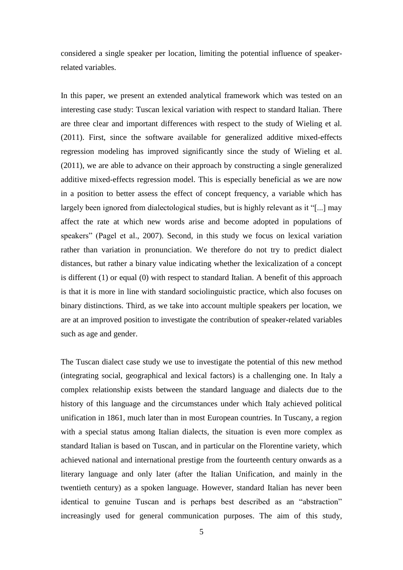considered a single speaker per location, limiting the potential influence of speakerrelated variables.

In this paper, we present an extended analytical framework which was tested on an interesting case study: Tuscan lexical variation with respect to standard Italian. There are three clear and important differences with respect to the study of Wieling et al. (2011). First, since the software available for generalized additive mixed-effects regression modeling has improved significantly since the study of Wieling et al. (2011), we are able to advance on their approach by constructing a single generalized additive mixed-effects regression model. This is especially beneficial as we are now in a position to better assess the effect of concept frequency, a variable which has largely been ignored from dialectological studies, but is highly relevant as it "[...] may affect the rate at which new words arise and become adopted in populations of speakers" (Pagel et al., 2007). Second, in this study we focus on lexical variation rather than variation in pronunciation. We therefore do not try to predict dialect distances, but rather a binary value indicating whether the lexicalization of a concept is different (1) or equal (0) with respect to standard Italian. A benefit of this approach is that it is more in line with standard sociolinguistic practice, which also focuses on binary distinctions. Third, as we take into account multiple speakers per location, we are at an improved position to investigate the contribution of speaker-related variables such as age and gender.

The Tuscan dialect case study we use to investigate the potential of this new method (integrating social, geographical and lexical factors) is a challenging one. In Italy a complex relationship exists between the standard language and dialects due to the history of this language and the circumstances under which Italy achieved political unification in 1861, much later than in most European countries. In Tuscany, a region with a special status among Italian dialects, the situation is even more complex as standard Italian is based on Tuscan, and in particular on the Florentine variety, which achieved national and international prestige from the fourteenth century onwards as a literary language and only later (after the Italian Unification, and mainly in the twentieth century) as a spoken language. However, standard Italian has never been identical to genuine Tuscan and is perhaps best described as an "abstraction" increasingly used for general communication purposes. The aim of this study,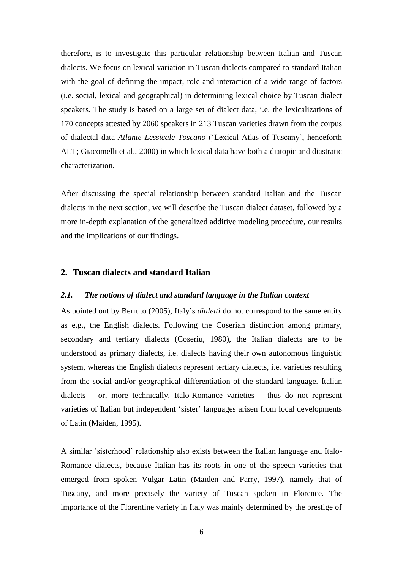therefore, is to investigate this particular relationship between Italian and Tuscan dialects. We focus on lexical variation in Tuscan dialects compared to standard Italian with the goal of defining the impact, role and interaction of a wide range of factors (i.e. social, lexical and geographical) in determining lexical choice by Tuscan dialect speakers. The study is based on a large set of dialect data, i.e. the lexicalizations of 170 concepts attested by 2060 speakers in 213 Tuscan varieties drawn from the corpus of dialectal data *Atlante Lessicale Toscano* ('Lexical Atlas of Tuscany', henceforth ALT; Giacomelli et al., 2000) in which lexical data have both a diatopic and diastratic characterization.

After discussing the special relationship between standard Italian and the Tuscan dialects in the next section, we will describe the Tuscan dialect dataset, followed by a more in-depth explanation of the generalized additive modeling procedure, our results and the implications of our findings.

# **2. Tuscan dialects and standard Italian**

# *2.1. The notions of dialect and standard language in the Italian context*

As pointed out by Berruto (2005), Italy's *dialetti* do not correspond to the same entity as e.g., the English dialects. Following the Coserian distinction among primary, secondary and tertiary dialects (Coseriu, 1980), the Italian dialects are to be understood as primary dialects, i.e. dialects having their own autonomous linguistic system, whereas the English dialects represent tertiary dialects, i.e. varieties resulting from the social and/or geographical differentiation of the standard language. Italian dialects – or, more technically, Italo-Romance varieties – thus do not represent varieties of Italian but independent 'sister' languages arisen from local developments of Latin (Maiden, 1995).

A similar 'sisterhood' relationship also exists between the Italian language and Italo-Romance dialects, because Italian has its roots in one of the speech varieties that emerged from spoken Vulgar Latin (Maiden and Parry, 1997), namely that of Tuscany, and more precisely the variety of Tuscan spoken in Florence. The importance of the Florentine variety in Italy was mainly determined by the prestige of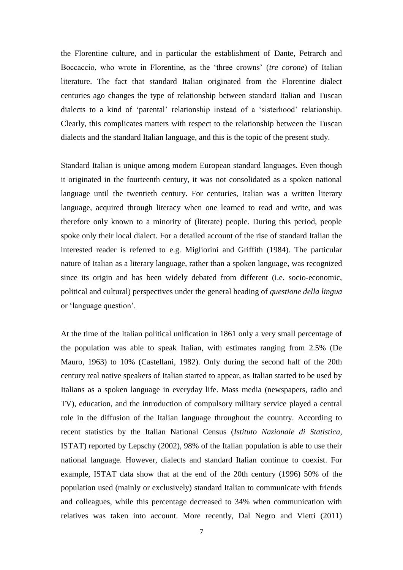the Florentine culture, and in particular the establishment of Dante, Petrarch and Boccaccio, who wrote in Florentine, as the 'three crowns' (*tre corone*) of Italian literature. The fact that standard Italian originated from the Florentine dialect centuries ago changes the type of relationship between standard Italian and Tuscan dialects to a kind of 'parental' relationship instead of a 'sisterhood' relationship. Clearly, this complicates matters with respect to the relationship between the Tuscan dialects and the standard Italian language, and this is the topic of the present study.

Standard Italian is unique among modern European standard languages. Even though it originated in the fourteenth century, it was not consolidated as a spoken national language until the twentieth century. For centuries, Italian was a written literary language, acquired through literacy when one learned to read and write, and was therefore only known to a minority of (literate) people. During this period, people spoke only their local dialect. For a detailed account of the rise of standard Italian the interested reader is referred to e.g. Migliorini and Griffith (1984). The particular nature of Italian as a literary language, rather than a spoken language, was recognized since its origin and has been widely debated from different (i.e. socio-economic, political and cultural) perspectives under the general heading of *questione della lingua* or 'language question'.

At the time of the Italian political unification in 1861 only a very small percentage of the population was able to speak Italian, with estimates ranging from 2.5% (De Mauro, 1963) to 10% (Castellani, 1982). Only during the second half of the 20th century real native speakers of Italian started to appear, as Italian started to be used by Italians as a spoken language in everyday life. Mass media (newspapers, radio and TV), education, and the introduction of compulsory military service played a central role in the diffusion of the Italian language throughout the country. According to recent statistics by the Italian National Census (*Istituto Nazionale di Statistica*, ISTAT) reported by Lepschy (2002), 98% of the Italian population is able to use their national language. However, dialects and standard Italian continue to coexist. For example, ISTAT data show that at the end of the 20th century (1996) 50% of the population used (mainly or exclusively) standard Italian to communicate with friends and colleagues, while this percentage decreased to 34% when communication with relatives was taken into account. More recently, Dal Negro and Vietti (2011)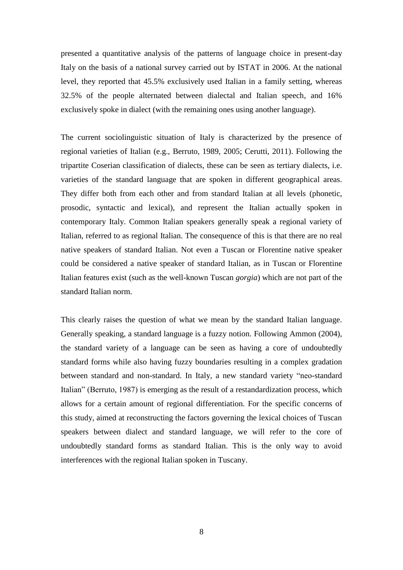presented a quantitative analysis of the patterns of language choice in present-day Italy on the basis of a national survey carried out by ISTAT in 2006. At the national level, they reported that 45.5% exclusively used Italian in a family setting, whereas 32.5% of the people alternated between dialectal and Italian speech, and 16% exclusively spoke in dialect (with the remaining ones using another language).

The current sociolinguistic situation of Italy is characterized by the presence of regional varieties of Italian (e.g., Berruto, 1989, 2005; Cerutti, 2011). Following the tripartite Coserian classification of dialects, these can be seen as tertiary dialects, i.e. varieties of the standard language that are spoken in different geographical areas. They differ both from each other and from standard Italian at all levels (phonetic, prosodic, syntactic and lexical), and represent the Italian actually spoken in contemporary Italy. Common Italian speakers generally speak a regional variety of Italian, referred to as regional Italian. The consequence of this is that there are no real native speakers of standard Italian. Not even a Tuscan or Florentine native speaker could be considered a native speaker of standard Italian, as in Tuscan or Florentine Italian features exist (such as the well-known Tuscan *gorgia*) which are not part of the standard Italian norm.

This clearly raises the question of what we mean by the standard Italian language. Generally speaking, a standard language is a fuzzy notion. Following Ammon (2004), the standard variety of a language can be seen as having a core of undoubtedly standard forms while also having fuzzy boundaries resulting in a complex gradation between standard and non-standard. In Italy, a new standard variety "neo-standard Italian" (Berruto, 1987) is emerging as the result of a restandardization process, which allows for a certain amount of regional differentiation. For the specific concerns of this study, aimed at reconstructing the factors governing the lexical choices of Tuscan speakers between dialect and standard language, we will refer to the core of undoubtedly standard forms as standard Italian. This is the only way to avoid interferences with the regional Italian spoken in Tuscany.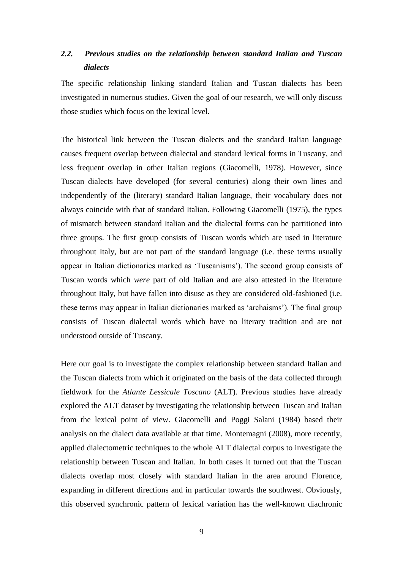# *2.2. Previous studies on the relationship between standard Italian and Tuscan dialects*

The specific relationship linking standard Italian and Tuscan dialects has been investigated in numerous studies. Given the goal of our research, we will only discuss those studies which focus on the lexical level.

The historical link between the Tuscan dialects and the standard Italian language causes frequent overlap between dialectal and standard lexical forms in Tuscany, and less frequent overlap in other Italian regions (Giacomelli, 1978). However, since Tuscan dialects have developed (for several centuries) along their own lines and independently of the (literary) standard Italian language, their vocabulary does not always coincide with that of standard Italian. Following Giacomelli (1975), the types of mismatch between standard Italian and the dialectal forms can be partitioned into three groups. The first group consists of Tuscan words which are used in literature throughout Italy, but are not part of the standard language (i.e. these terms usually appear in Italian dictionaries marked as 'Tuscanisms'). The second group consists of Tuscan words which *were* part of old Italian and are also attested in the literature throughout Italy, but have fallen into disuse as they are considered old-fashioned (i.e. these terms may appear in Italian dictionaries marked as 'archaisms'). The final group consists of Tuscan dialectal words which have no literary tradition and are not understood outside of Tuscany.

Here our goal is to investigate the complex relationship between standard Italian and the Tuscan dialects from which it originated on the basis of the data collected through fieldwork for the *Atlante Lessicale Toscano* (ALT). Previous studies have already explored the ALT dataset by investigating the relationship between Tuscan and Italian from the lexical point of view. Giacomelli and Poggi Salani (1984) based their analysis on the dialect data available at that time. Montemagni (2008), more recently, applied dialectometric techniques to the whole ALT dialectal corpus to investigate the relationship between Tuscan and Italian. In both cases it turned out that the Tuscan dialects overlap most closely with standard Italian in the area around Florence, expanding in different directions and in particular towards the southwest. Obviously, this observed synchronic pattern of lexical variation has the well-known diachronic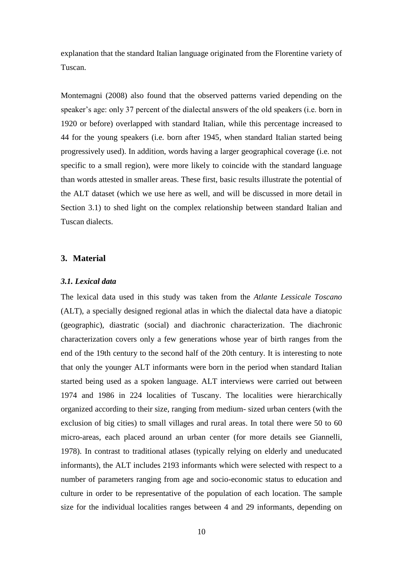explanation that the standard Italian language originated from the Florentine variety of Tuscan.

Montemagni (2008) also found that the observed patterns varied depending on the speaker's age: only 37 percent of the dialectal answers of the old speakers (i.e. born in 1920 or before) overlapped with standard Italian, while this percentage increased to 44 for the young speakers (i.e. born after 1945, when standard Italian started being progressively used). In addition, words having a larger geographical coverage (i.e. not specific to a small region), were more likely to coincide with the standard language than words attested in smaller areas. These first, basic results illustrate the potential of the ALT dataset (which we use here as well, and will be discussed in more detail in Section 3.1) to shed light on the complex relationship between standard Italian and Tuscan dialects.

## **3. Material**

#### *3.1. Lexical data*

The lexical data used in this study was taken from the *Atlante Lessicale Toscano* (ALT), a specially designed regional atlas in which the dialectal data have a diatopic (geographic), diastratic (social) and diachronic characterization. The diachronic characterization covers only a few generations whose year of birth ranges from the end of the 19th century to the second half of the 20th century. It is interesting to note that only the younger ALT informants were born in the period when standard Italian started being used as a spoken language. ALT interviews were carried out between 1974 and 1986 in 224 localities of Tuscany. The localities were hierarchically organized according to their size, ranging from medium- sized urban centers (with the exclusion of big cities) to small villages and rural areas. In total there were 50 to 60 micro-areas, each placed around an urban center (for more details see Giannelli, 1978). In contrast to traditional atlases (typically relying on elderly and uneducated informants), the ALT includes 2193 informants which were selected with respect to a number of parameters ranging from age and socio-economic status to education and culture in order to be representative of the population of each location. The sample size for the individual localities ranges between 4 and 29 informants, depending on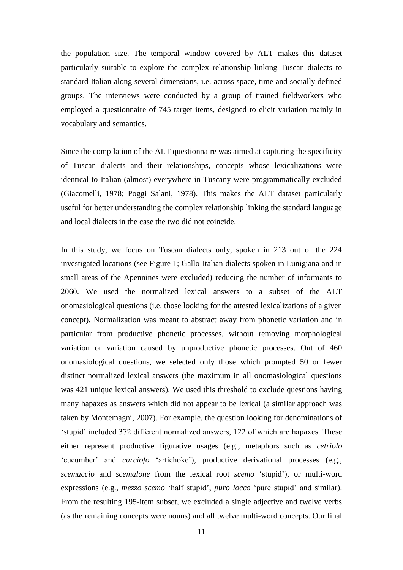the population size. The temporal window covered by ALT makes this dataset particularly suitable to explore the complex relationship linking Tuscan dialects to standard Italian along several dimensions, i.e. across space, time and socially defined groups. The interviews were conducted by a group of trained fieldworkers who employed a questionnaire of 745 target items, designed to elicit variation mainly in vocabulary and semantics.

Since the compilation of the ALT questionnaire was aimed at capturing the specificity of Tuscan dialects and their relationships, concepts whose lexicalizations were identical to Italian (almost) everywhere in Tuscany were programmatically excluded (Giacomelli, 1978; Poggi Salani, 1978). This makes the ALT dataset particularly useful for better understanding the complex relationship linking the standard language and local dialects in the case the two did not coincide.

In this study, we focus on Tuscan dialects only, spoken in 213 out of the 224 investigated locations (see Figure 1; Gallo-Italian dialects spoken in Lunigiana and in small areas of the Apennines were excluded) reducing the number of informants to 2060. We used the normalized lexical answers to a subset of the ALT onomasiological questions (i.e. those looking for the attested lexicalizations of a given concept). Normalization was meant to abstract away from phonetic variation and in particular from productive phonetic processes, without removing morphological variation or variation caused by unproductive phonetic processes. Out of 460 onomasiological questions, we selected only those which prompted 50 or fewer distinct normalized lexical answers (the maximum in all onomasiological questions was 421 unique lexical answers). We used this threshold to exclude questions having many hapaxes as answers which did not appear to be lexical (a similar approach was taken by Montemagni, 2007). For example, the question looking for denominations of 'stupid' included 372 different normalized answers, 122 of which are hapaxes. These either represent productive figurative usages (e.g., metaphors such as *cetriolo* 'cucumber' and *carciofo* 'artichoke'), productive derivational processes (e.g., *scemaccio* and *scemalone* from the lexical root *scemo* 'stupid'), or multi-word expressions (e.g., *mezzo scemo* 'half stupid', *puro locco* 'pure stupid' and similar). From the resulting 195-item subset, we excluded a single adjective and twelve verbs (as the remaining concepts were nouns) and all twelve multi-word concepts. Our final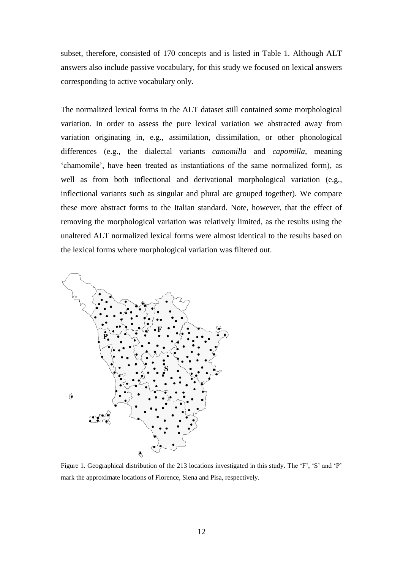subset, therefore, consisted of 170 concepts and is listed in Table 1. Although ALT answers also include passive vocabulary, for this study we focused on lexical answers corresponding to active vocabulary only.

The normalized lexical forms in the ALT dataset still contained some morphological variation. In order to assess the pure lexical variation we abstracted away from variation originating in, e.g., assimilation, dissimilation, or other phonological differences (e.g., the dialectal variants *camomilla* and *capomilla*, meaning 'chamomile', have been treated as instantiations of the same normalized form), as well as from both inflectional and derivational morphological variation (e.g., inflectional variants such as singular and plural are grouped together). We compare these more abstract forms to the Italian standard. Note, however, that the effect of removing the morphological variation was relatively limited, as the results using the unaltered ALT normalized lexical forms were almost identical to the results based on the lexical forms where morphological variation was filtered out.



Figure 1. Geographical distribution of the 213 locations investigated in this study. The 'F', 'S' and 'P' mark the approximate locations of Florence, Siena and Pisa, respectively.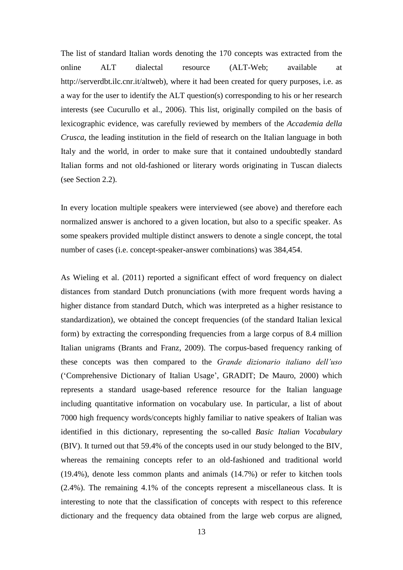The list of standard Italian words denoting the 170 concepts was extracted from the online ALT dialectal resource (ALT-Web; available at http://serverdbt.ilc.cnr.it/altweb), where it had been created for query purposes, i.e. as a way for the user to identify the ALT question(s) corresponding to his or her research interests (see Cucurullo et al., 2006). This list, originally compiled on the basis of lexicographic evidence, was carefully reviewed by members of the *Accademia della Crusca*, the leading institution in the field of research on the Italian language in both Italy and the world, in order to make sure that it contained undoubtedly standard Italian forms and not old-fashioned or literary words originating in Tuscan dialects (see Section 2.2).

In every location multiple speakers were interviewed (see above) and therefore each normalized answer is anchored to a given location, but also to a specific speaker. As some speakers provided multiple distinct answers to denote a single concept, the total number of cases (i.e. concept-speaker-answer combinations) was 384,454.

As Wieling et al. (2011) reported a significant effect of word frequency on dialect distances from standard Dutch pronunciations (with more frequent words having a higher distance from standard Dutch, which was interpreted as a higher resistance to standardization), we obtained the concept frequencies (of the standard Italian lexical form) by extracting the corresponding frequencies from a large corpus of 8.4 million Italian unigrams (Brants and Franz, 2009). The corpus-based frequency ranking of these concepts was then compared to the *Grande dizionario italiano dell'uso* ('Comprehensive Dictionary of Italian Usage', GRADIT; De Mauro, 2000) which represents a standard usage-based reference resource for the Italian language including quantitative information on vocabulary use. In particular, a list of about 7000 high frequency words/concepts highly familiar to native speakers of Italian was identified in this dictionary, representing the so-called *Basic Italian Vocabulary* (BIV). It turned out that 59.4% of the concepts used in our study belonged to the BIV, whereas the remaining concepts refer to an old-fashioned and traditional world (19.4%), denote less common plants and animals (14.7%) or refer to kitchen tools (2.4%). The remaining 4.1% of the concepts represent a miscellaneous class. It is interesting to note that the classification of concepts with respect to this reference dictionary and the frequency data obtained from the large web corpus are aligned,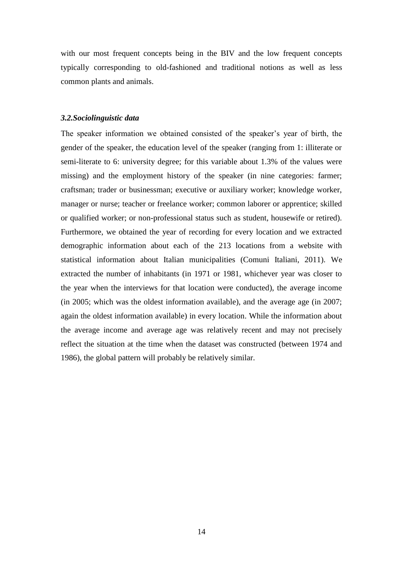with our most frequent concepts being in the BIV and the low frequent concepts typically corresponding to old-fashioned and traditional notions as well as less common plants and animals.

#### *3.2.Sociolinguistic data*

The speaker information we obtained consisted of the speaker's year of birth, the gender of the speaker, the education level of the speaker (ranging from 1: illiterate or semi-literate to 6: university degree; for this variable about 1.3% of the values were missing) and the employment history of the speaker (in nine categories: farmer; craftsman; trader or businessman; executive or auxiliary worker; knowledge worker, manager or nurse; teacher or freelance worker; common laborer or apprentice; skilled or qualified worker; or non-professional status such as student, housewife or retired). Furthermore, we obtained the year of recording for every location and we extracted demographic information about each of the 213 locations from a website with statistical information about Italian municipalities (Comuni Italiani, 2011). We extracted the number of inhabitants (in 1971 or 1981, whichever year was closer to the year when the interviews for that location were conducted), the average income (in 2005; which was the oldest information available), and the average age (in 2007; again the oldest information available) in every location. While the information about the average income and average age was relatively recent and may not precisely reflect the situation at the time when the dataset was constructed (between 1974 and 1986), the global pattern will probably be relatively similar.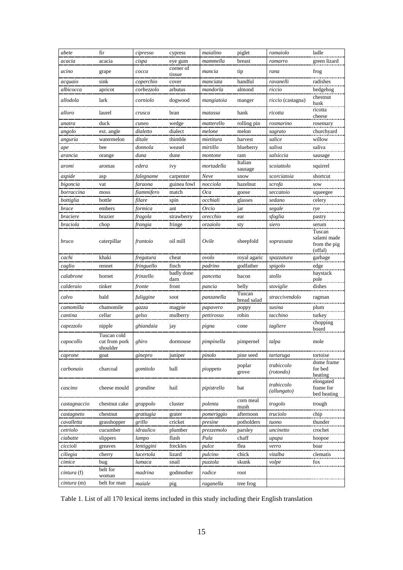| abete              | fir                                      | cipresso   | cypress             | maialino    | piglet                | ramaiolo                  | ladle                                            |
|--------------------|------------------------------------------|------------|---------------------|-------------|-----------------------|---------------------------|--------------------------------------------------|
| acacia             | acacia                                   | cispa      | eye gum             | mammella    | breast                | ramarro                   | green lizard                                     |
| acino              | grape                                    | cocca      | corner of<br>tissue | mancia      | tip                   | rana                      | frog                                             |
| acquaio            | sink                                     | coperchio  | cover               | manciata    | handful               | ravanelli                 | radishes                                         |
| albicocca          | apricot                                  | corbezzolo | arbutus             | mandorla    | almond                | riccio                    | hedgehog                                         |
| allodola           | lark                                     | corniolo   | dogwood             | mangiatoia  | manger                | <i>riccio</i> (castagna)  | chestnut<br>husk                                 |
| alloro             | laurel                                   | crusca     | bran                | matassa     | hank                  | ricotta                   | ricotta<br>cheese                                |
| anatra             | duck                                     | cuneo      | wedge               | matterello  | rolling pin           | rosmarino                 | rosemary                                         |
| angolo             | ext. angle                               | dialetto   | dialect             | melone      | melon                 | sagrato                   | churchyard                                       |
| anguria            | watermelon                               | ditale     | thimble             | mietitura   | harvest               | salice                    | willow                                           |
| ape                | bee                                      | donnola    | weasel              | mirtillo    | blueberry             | saliva                    | saliva                                           |
| arancia            | orange                                   | duna       | dune                | montone     | ram                   | salsiccia                 | sausage                                          |
| aromi              | aromas                                   | edera      | ivy                 | mortadella  | Italian<br>sausage    | scoiattolo                | squirrel                                         |
| aspide             | asp                                      | falegname  | carpenter           | Neve        | snow                  | scorciatoia               | shortcut                                         |
| bigoncia           | vat                                      | faraona    | guinea fowl         | nocciola    | hazelnut              | scrofa                    | sow                                              |
| borraccina         | moss                                     | fiammifero | match               | Oca         | goose                 | seccatoio                 | squeegee                                         |
| bottiglia          | bottle                                   | filare     | spin                | occhiali    | glasses               | sedano                    | celery                                           |
| <i>brace</i>       | embers                                   | formica    | ant                 | Orcio       | jar                   | segale                    | rye                                              |
| braciere           | brazier                                  | fragola    | strawberry          | orecchio    | ear                   | sfoglia                   | pastry                                           |
| braciola           | chop                                     | frangia    | fringe              | orzaiolo    | sty                   | siero                     | serum                                            |
| bruco              | caterpillar                              | frantoio   | oil mill            | Ovile       | sheepfold             | soprassata                | Tuscan<br>salami made<br>from the pig<br>(offal) |
| cachi              | khaki                                    | fregatura  | cheat               | ovolo       | royal agaric          | spazzatura                | garbage                                          |
| caglio             | rennet                                   | fringuello | finch               | padrino     | godfather             | spigolo                   | edge                                             |
| calabrone          | hornet                                   | frinzello  | badly done<br>darn  | pancetta    | bacon                 | stollo                    | haystack<br>pole                                 |
| calderaio          | tinker                                   | fronte     | front               | pancia      | belly                 | stoviglie                 | dishes                                           |
| calvo              | bald                                     | fuliggine  | soot                | panzanella  | Tuscan<br>bread salad | straccivendolo            | ragman                                           |
| camomilla          | chamomile                                | gazza      | magpie              | papavero    | poppy                 | susina                    | plum                                             |
| cantina            | cellar                                   | gelso      | mulberry            | pettirosso  | robin                 | tacchino                  | turkey                                           |
| capezzolo          | nipple                                   | ghiandaia  | jay                 | pigna       | cone                  | tagliere                  | chopping                                         |
| capocollo          | Tuscan cold<br>cut from pork<br>shoulder | ghiro      | dormouse            | pimpinella  | pimpernel             | talpa                     | board<br>mole                                    |
| caprone            | goat                                     | ginepro    | juniper             | pinolo      | pine seed             | tartaruga                 | tortoise                                         |
| carbonaio          | charcoal                                 | gomitolo   | ball                | pioppeto    | poplar<br>grove       | trabiccolo<br>(rotondo)   | dome frame<br>for bed<br>heating                 |
| cascino            | cheese mould                             | grandine   | hail                | pipistrello | bat                   | trabiccolo<br>(allungato) | elongated<br>frame for<br>bed heating            |
| castagnaccio       | chestnut cake                            | grappolo   | cluster             | polenta     | corn meal<br>mush     | trogolo                   | trough                                           |
| castagneto         | chestnut                                 | grattugia  | grater              | pomeriggio  | afternoon             | truciolo                  | chip                                             |
| cavalletta         | grasshopper                              | grillo     | cricket             | presine     | potholders            | tuono                     | thunder                                          |
| cetriolo           | cucumber                                 | idraulico  | plumber             | prezzemolo  | parsley               | uncinetto                 | crochet                                          |
| ciabatte           | slippers                                 | lampo      | flash               | Pula        | chaff                 | upupa                     | hoopoe                                           |
| ciccioli           | greaves                                  | lentiggini | freckles            | pulce       | flea                  | verro                     | boar                                             |
| ciliegia           | cherry                                   | lucertola  | lizard              | pulcino     | chick                 | vitalba                   | clematis                                         |
| cimice             | bug                                      | lumaca     | snail               | puzzola     | skunk                 | volpe                     | fox                                              |
|                    | belt for                                 |            |                     |             |                       |                           |                                                  |
| <i>cintura</i> (f) | woman                                    | madrina    | godmother           | radice      | root                  |                           |                                                  |
| <i>cintura</i> (m) | belt for man                             | maiale     | pig                 | raganella   | tree frog             |                           |                                                  |

Table 1. List of all 170 lexical items included in this study including their English translation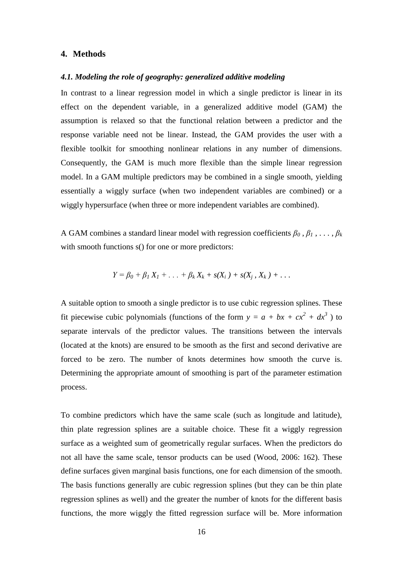#### **4. Methods**

#### *4.1. Modeling the role of geography: generalized additive modeling*

In contrast to a linear regression model in which a single predictor is linear in its effect on the dependent variable, in a generalized additive model (GAM) the assumption is relaxed so that the functional relation between a predictor and the response variable need not be linear. Instead, the GAM provides the user with a flexible toolkit for smoothing nonlinear relations in any number of dimensions. Consequently, the GAM is much more flexible than the simple linear regression model. In a GAM multiple predictors may be combined in a single smooth, yielding essentially a wiggly surface (when two independent variables are combined) or a wiggly hypersurface (when three or more independent variables are combined).

A GAM combines a standard linear model with regression coefficients  $\beta_0$ ,  $\beta_1$ , ...,  $\beta_k$ with smooth functions  $s()$  for one or more predictors:

$$
Y = \beta_0 + \beta_1 X_1 + \ldots + \beta_k X_k + s(X_i) + s(X_j, X_k) + \ldots
$$

A suitable option to smooth a single predictor is to use cubic regression splines. These fit piecewise cubic polynomials (functions of the form  $y = a + bx + cx^2 + dx^3$ ) to separate intervals of the predictor values. The transitions between the intervals (located at the knots) are ensured to be smooth as the first and second derivative are forced to be zero. The number of knots determines how smooth the curve is. Determining the appropriate amount of smoothing is part of the parameter estimation process.

To combine predictors which have the same scale (such as longitude and latitude), thin plate regression splines are a suitable choice. These fit a wiggly regression surface as a weighted sum of geometrically regular surfaces. When the predictors do not all have the same scale, tensor products can be used (Wood, 2006: 162). These define surfaces given marginal basis functions, one for each dimension of the smooth. The basis functions generally are cubic regression splines (but they can be thin plate regression splines as well) and the greater the number of knots for the different basis functions, the more wiggly the fitted regression surface will be. More information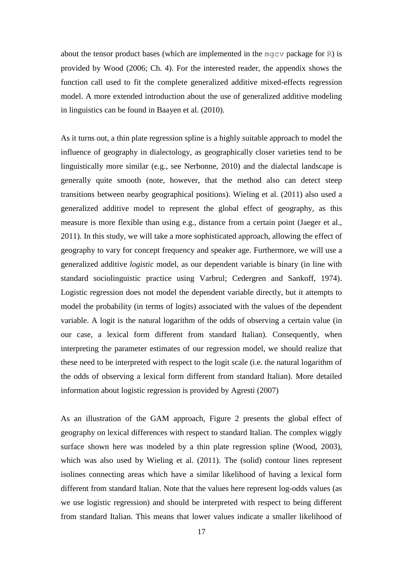about the tensor product bases (which are implemented in the mgcv package for R) is provided by Wood (2006; Ch. 4). For the interested reader, the appendix shows the function call used to fit the complete generalized additive mixed-effects regression model. A more extended introduction about the use of generalized additive modeling in linguistics can be found in Baayen et al. (2010).

As it turns out, a thin plate regression spline is a highly suitable approach to model the influence of geography in dialectology, as geographically closer varieties tend to be linguistically more similar (e.g., see Nerbonne, 2010) and the dialectal landscape is generally quite smooth (note, however, that the method also can detect steep transitions between nearby geographical positions). Wieling et al. (2011) also used a generalized additive model to represent the global effect of geography, as this measure is more flexible than using e.g., distance from a certain point (Jaeger et al., 2011). In this study, we will take a more sophisticated approach, allowing the effect of geography to vary for concept frequency and speaker age. Furthermore, we will use a generalized additive *logistic* model, as our dependent variable is binary (in line with standard sociolinguistic practice using Varbrul; Cedergren and Sankoff, 1974). Logistic regression does not model the dependent variable directly, but it attempts to model the probability (in terms of logits) associated with the values of the dependent variable. A logit is the natural logarithm of the odds of observing a certain value (in our case, a lexical form different from standard Italian). Consequently, when interpreting the parameter estimates of our regression model, we should realize that these need to be interpreted with respect to the logit scale (i.e. the natural logarithm of the odds of observing a lexical form different from standard Italian). More detailed information about logistic regression is provided by Agresti (2007)

As an illustration of the GAM approach, Figure 2 presents the global effect of geography on lexical differences with respect to standard Italian. The complex wiggly surface shown here was modeled by a thin plate regression spline (Wood, 2003), which was also used by Wieling et al. (2011). The (solid) contour lines represent isolines connecting areas which have a similar likelihood of having a lexical form different from standard Italian. Note that the values here represent log-odds values (as we use logistic regression) and should be interpreted with respect to being different from standard Italian. This means that lower values indicate a smaller likelihood of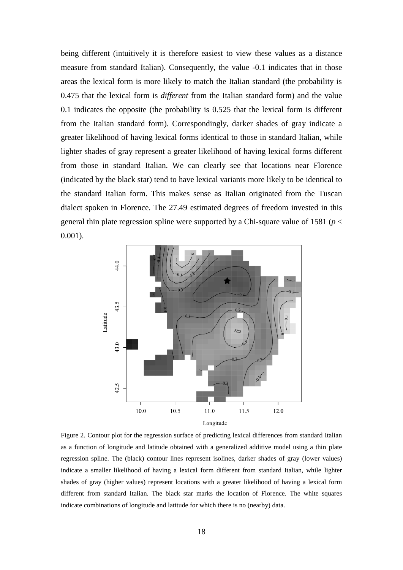being different (intuitively it is therefore easiest to view these values as a distance measure from standard Italian). Consequently, the value -0.1 indicates that in those areas the lexical form is more likely to match the Italian standard (the probability is 0.475 that the lexical form is *different* from the Italian standard form) and the value 0.1 indicates the opposite (the probability is 0.525 that the lexical form is different from the Italian standard form). Correspondingly, darker shades of gray indicate a greater likelihood of having lexical forms identical to those in standard Italian, while lighter shades of gray represent a greater likelihood of having lexical forms different from those in standard Italian. We can clearly see that locations near Florence (indicated by the black star) tend to have lexical variants more likely to be identical to the standard Italian form. This makes sense as Italian originated from the Tuscan dialect spoken in Florence. The 27.49 estimated degrees of freedom invested in this general thin plate regression spline were supported by a Chi-square value of 1581 (*p* < 0.001).



Figure 2. Contour plot for the regression surface of predicting lexical differences from standard Italian as a function of longitude and latitude obtained with a generalized additive model using a thin plate regression spline. The (black) contour lines represent isolines, darker shades of gray (lower values) indicate a smaller likelihood of having a lexical form different from standard Italian, while lighter shades of gray (higher values) represent locations with a greater likelihood of having a lexical form different from standard Italian. The black star marks the location of Florence. The white squares indicate combinations of longitude and latitude for which there is no (nearby) data.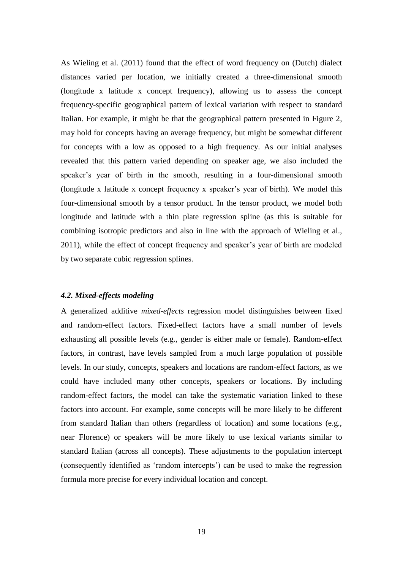As Wieling et al. (2011) found that the effect of word frequency on (Dutch) dialect distances varied per location, we initially created a three-dimensional smooth (longitude x latitude x concept frequency), allowing us to assess the concept frequency-specific geographical pattern of lexical variation with respect to standard Italian. For example, it might be that the geographical pattern presented in Figure 2, may hold for concepts having an average frequency, but might be somewhat different for concepts with a low as opposed to a high frequency. As our initial analyses revealed that this pattern varied depending on speaker age, we also included the speaker's year of birth in the smooth, resulting in a four-dimensional smooth (longitude x latitude x concept frequency x speaker's year of birth). We model this four-dimensional smooth by a tensor product. In the tensor product, we model both longitude and latitude with a thin plate regression spline (as this is suitable for combining isotropic predictors and also in line with the approach of Wieling et al., 2011), while the effect of concept frequency and speaker's year of birth are modeled by two separate cubic regression splines.

### *4.2. Mixed-effects modeling*

A generalized additive *mixed-effects* regression model distinguishes between fixed and random-effect factors. Fixed-effect factors have a small number of levels exhausting all possible levels (e.g., gender is either male or female). Random-effect factors, in contrast, have levels sampled from a much large population of possible levels. In our study, concepts, speakers and locations are random-effect factors, as we could have included many other concepts, speakers or locations. By including random-effect factors, the model can take the systematic variation linked to these factors into account. For example, some concepts will be more likely to be different from standard Italian than others (regardless of location) and some locations (e.g., near Florence) or speakers will be more likely to use lexical variants similar to standard Italian (across all concepts). These adjustments to the population intercept (consequently identified as 'random intercepts') can be used to make the regression formula more precise for every individual location and concept.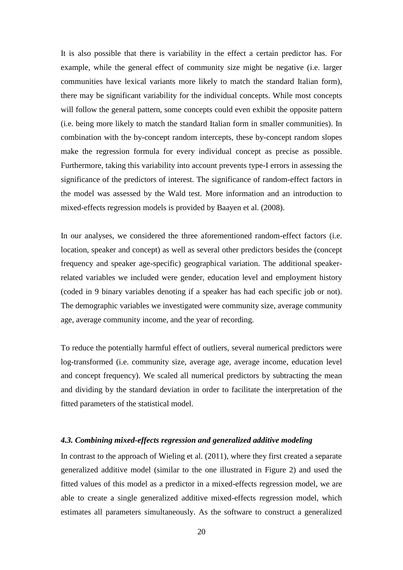It is also possible that there is variability in the effect a certain predictor has. For example, while the general effect of community size might be negative (i.e. larger communities have lexical variants more likely to match the standard Italian form), there may be significant variability for the individual concepts. While most concepts will follow the general pattern, some concepts could even exhibit the opposite pattern (i.e. being more likely to match the standard Italian form in smaller communities). In combination with the by-concept random intercepts, these by-concept random slopes make the regression formula for every individual concept as precise as possible. Furthermore, taking this variability into account prevents type-I errors in assessing the significance of the predictors of interest. The significance of random-effect factors in the model was assessed by the Wald test. More information and an introduction to mixed-effects regression models is provided by Baayen et al. (2008).

In our analyses, we considered the three aforementioned random-effect factors (i.e. location, speaker and concept) as well as several other predictors besides the (concept frequency and speaker age-specific) geographical variation. The additional speakerrelated variables we included were gender, education level and employment history (coded in 9 binary variables denoting if a speaker has had each specific job or not). The demographic variables we investigated were community size, average community age, average community income, and the year of recording.

To reduce the potentially harmful effect of outliers, several numerical predictors were log-transformed (i.e. community size, average age, average income, education level and concept frequency). We scaled all numerical predictors by subtracting the mean and dividing by the standard deviation in order to facilitate the interpretation of the fitted parameters of the statistical model.

### *4.3. Combining mixed-effects regression and generalized additive modeling*

In contrast to the approach of Wieling et al. (2011), where they first created a separate generalized additive model (similar to the one illustrated in Figure 2) and used the fitted values of this model as a predictor in a mixed-effects regression model, we are able to create a single generalized additive mixed-effects regression model, which estimates all parameters simultaneously. As the software to construct a generalized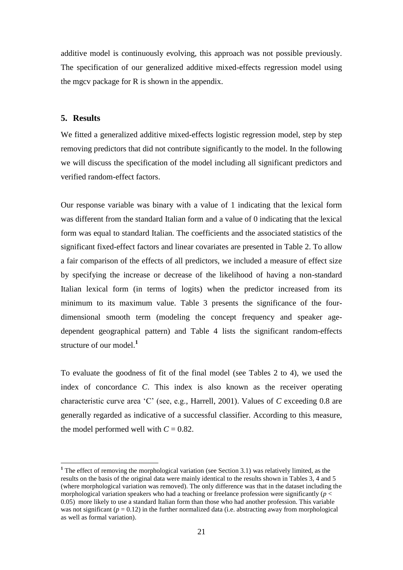additive model is continuously evolving, this approach was not possible previously. The specification of our generalized additive mixed-effects regression model using the mgcv package for R is shown in the appendix.

# **5. Results**

 $\overline{a}$ 

We fitted a generalized additive mixed-effects logistic regression model, step by step removing predictors that did not contribute significantly to the model. In the following we will discuss the specification of the model including all significant predictors and verified random-effect factors.

Our response variable was binary with a value of 1 indicating that the lexical form was different from the standard Italian form and a value of 0 indicating that the lexical form was equal to standard Italian. The coefficients and the associated statistics of the significant fixed-effect factors and linear covariates are presented in Table 2. To allow a fair comparison of the effects of all predictors, we included a measure of effect size by specifying the increase or decrease of the likelihood of having a non-standard Italian lexical form (in terms of logits) when the predictor increased from its minimum to its maximum value. Table 3 presents the significance of the fourdimensional smooth term (modeling the concept frequency and speaker agedependent geographical pattern) and Table 4 lists the significant random-effects structure of our model. **1**

To evaluate the goodness of fit of the final model (see Tables 2 to 4), we used the index of concordance *C*. This index is also known as the receiver operating characteristic curve area 'C' (see, e.g., Harrell, 2001). Values of *C* exceeding 0.8 are generally regarded as indicative of a successful classifier. According to this measure, the model performed well with  $C = 0.82$ .

<sup>&</sup>lt;sup>1</sup> The effect of removing the morphological variation (see Section 3.1) was relatively limited, as the results on the basis of the original data were mainly identical to the results shown in Tables 3, 4 and 5 (where morphological variation was removed). The only difference was that in the dataset including the morphological variation speakers who had a teaching or freelance profession were significantly (*p* < 0.05) more likely to use a standard Italian form than those who had another profession. This variable was not significant  $(p = 0.12)$  in the further normalized data (i.e. abstracting away from morphological as well as formal variation).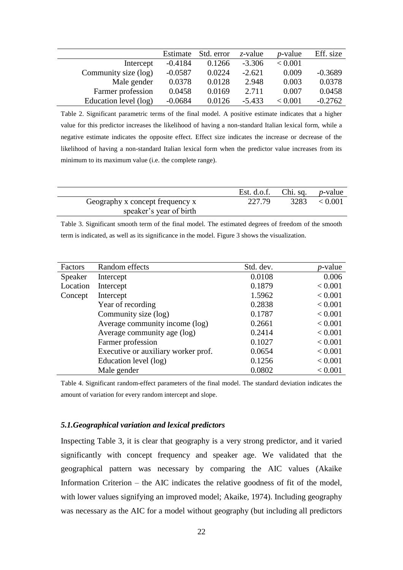|                       | Estimate  | Std. error | $z$ -value | $p$ -value | Eff. size |
|-----------------------|-----------|------------|------------|------------|-----------|
| Intercept             | $-0.4184$ | 0.1266     | $-3.306$   | < 0.001    |           |
| Community size (log)  | $-0.0587$ | 0.0224     | $-2.621$   | 0.009      | $-0.3689$ |
| Male gender           | 0.0378    | 0.0128     | 2.948      | 0.003      | 0.0378    |
| Farmer profession     | 0.0458    | 0.0169     | 2.711      | 0.007      | 0.0458    |
| Education level (log) | $-0.0684$ | 0.0126     | $-5.433$   | < 0.001    | $-0.2762$ |

Table 2. Significant parametric terms of the final model. A positive estimate indicates that a higher value for this predictor increases the likelihood of having a non-standard Italian lexical form, while a negative estimate indicates the opposite effect. Effect size indicates the increase or decrease of the likelihood of having a non-standard Italian lexical form when the predictor value increases from its minimum to its maximum value (i.e. the complete range).

|                                 | Est. d.o.f. Chi. sq. $p$ -value |      |         |
|---------------------------------|---------------------------------|------|---------|
| Geography x concept frequency x | 227.79                          | 3283 | < 0.001 |
| speaker's year of birth         |                                 |      |         |

Table 3. Significant smooth term of the final model. The estimated degrees of freedom of the smooth term is indicated, as well as its significance in the model. Figure 3 shows the visualization.

| Factors  | Random effects                      | Std. dev. | <i>p</i> -value |
|----------|-------------------------------------|-----------|-----------------|
| Speaker  | Intercept                           | 0.0108    | 0.006           |
| Location | Intercept                           | 0.1879    | < 0.001         |
| Concept  | Intercept                           | 1.5962    | < 0.001         |
|          | Year of recording                   | 0.2838    | < 0.001         |
|          | Community size (log)                | 0.1787    | < 0.001         |
|          | Average community income (log)      | 0.2661    | < 0.001         |
|          | Average community age (log)         | 0.2414    | < 0.001         |
|          | Farmer profession                   | 0.1027    | < 0.001         |
|          | Executive or auxiliary worker prof. | 0.0654    | < 0.001         |
|          | Education level (log)               | 0.1256    | < 0.001         |
|          | Male gender                         | 0.0802    | < 0.001         |

Table 4. Significant random-effect parameters of the final model. The standard deviation indicates the amount of variation for every random intercept and slope.

### *5.1.Geographical variation and lexical predictors*

Inspecting Table 3, it is clear that geography is a very strong predictor, and it varied significantly with concept frequency and speaker age. We validated that the geographical pattern was necessary by comparing the AIC values (Akaike Information Criterion – the AIC indicates the relative goodness of fit of the model, with lower values signifying an improved model; Akaike, 1974). Including geography was necessary as the AIC for a model without geography (but including all predictors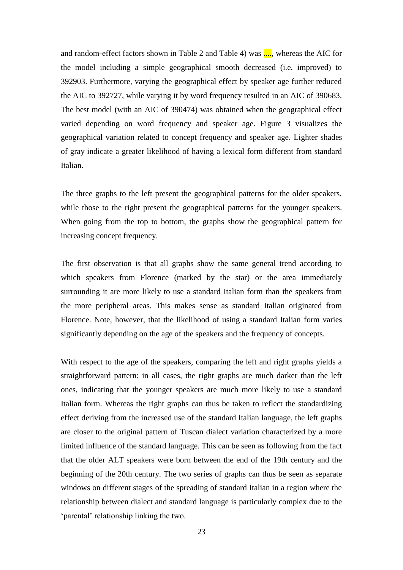and random-effect factors shown in Table 2 and Table 4) was  $\ldots$ , whereas the AIC for the model including a simple geographical smooth decreased (i.e. improved) to 392903. Furthermore, varying the geographical effect by speaker age further reduced the AIC to 392727, while varying it by word frequency resulted in an AIC of 390683. The best model (with an AIC of 390474) was obtained when the geographical effect varied depending on word frequency and speaker age. Figure 3 visualizes the geographical variation related to concept frequency and speaker age. Lighter shades of gray indicate a greater likelihood of having a lexical form different from standard Italian.

The three graphs to the left present the geographical patterns for the older speakers, while those to the right present the geographical patterns for the younger speakers. When going from the top to bottom, the graphs show the geographical pattern for increasing concept frequency.

The first observation is that all graphs show the same general trend according to which speakers from Florence (marked by the star) or the area immediately surrounding it are more likely to use a standard Italian form than the speakers from the more peripheral areas. This makes sense as standard Italian originated from Florence. Note, however, that the likelihood of using a standard Italian form varies significantly depending on the age of the speakers and the frequency of concepts.

With respect to the age of the speakers, comparing the left and right graphs yields a straightforward pattern: in all cases, the right graphs are much darker than the left ones, indicating that the younger speakers are much more likely to use a standard Italian form. Whereas the right graphs can thus be taken to reflect the standardizing effect deriving from the increased use of the standard Italian language, the left graphs are closer to the original pattern of Tuscan dialect variation characterized by a more limited influence of the standard language. This can be seen as following from the fact that the older ALT speakers were born between the end of the 19th century and the beginning of the 20th century. The two series of graphs can thus be seen as separate windows on different stages of the spreading of standard Italian in a region where the relationship between dialect and standard language is particularly complex due to the 'parental' relationship linking the two.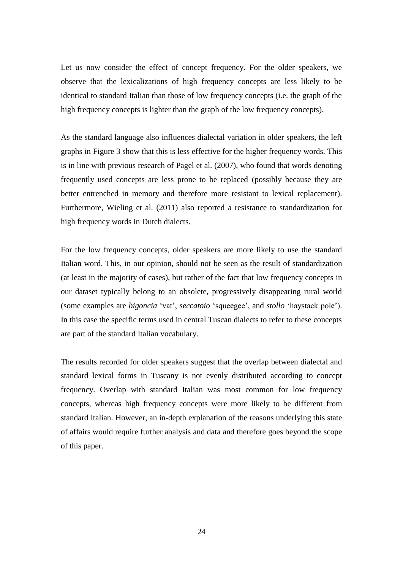Let us now consider the effect of concept frequency. For the older speakers, we observe that the lexicalizations of high frequency concepts are less likely to be identical to standard Italian than those of low frequency concepts (i.e. the graph of the high frequency concepts is lighter than the graph of the low frequency concepts).

As the standard language also influences dialectal variation in older speakers, the left graphs in Figure 3 show that this is less effective for the higher frequency words. This is in line with previous research of Pagel et al. (2007), who found that words denoting frequently used concepts are less prone to be replaced (possibly because they are better entrenched in memory and therefore more resistant to lexical replacement). Furthermore, Wieling et al. (2011) also reported a resistance to standardization for high frequency words in Dutch dialects.

For the low frequency concepts, older speakers are more likely to use the standard Italian word. This, in our opinion, should not be seen as the result of standardization (at least in the majority of cases), but rather of the fact that low frequency concepts in our dataset typically belong to an obsolete, progressively disappearing rural world (some examples are *bigoncia* 'vat', *seccatoio* 'squeegee', and *stollo* 'haystack pole'). In this case the specific terms used in central Tuscan dialects to refer to these concepts are part of the standard Italian vocabulary.

The results recorded for older speakers suggest that the overlap between dialectal and standard lexical forms in Tuscany is not evenly distributed according to concept frequency. Overlap with standard Italian was most common for low frequency concepts, whereas high frequency concepts were more likely to be different from standard Italian. However, an in-depth explanation of the reasons underlying this state of affairs would require further analysis and data and therefore goes beyond the scope of this paper.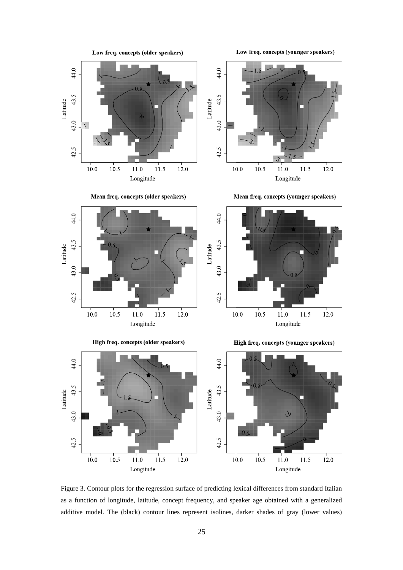

Figure 3. Contour plots for the regression surface of predicting lexical differences from standard Italian as a function of longitude, latitude, concept frequency, and speaker age obtained with a generalized additive model. The (black) contour lines represent isolines, darker shades of gray (lower values)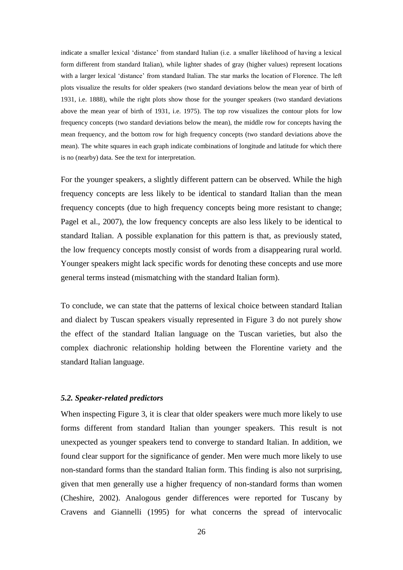indicate a smaller lexical 'distance' from standard Italian (i.e. a smaller likelihood of having a lexical form different from standard Italian), while lighter shades of gray (higher values) represent locations with a larger lexical 'distance' from standard Italian. The star marks the location of Florence. The left plots visualize the results for older speakers (two standard deviations below the mean year of birth of 1931, i.e. 1888), while the right plots show those for the younger speakers (two standard deviations above the mean year of birth of 1931, i.e. 1975). The top row visualizes the contour plots for low frequency concepts (two standard deviations below the mean), the middle row for concepts having the mean frequency, and the bottom row for high frequency concepts (two standard deviations above the mean). The white squares in each graph indicate combinations of longitude and latitude for which there is no (nearby) data. See the text for interpretation.

For the younger speakers, a slightly different pattern can be observed. While the high frequency concepts are less likely to be identical to standard Italian than the mean frequency concepts (due to high frequency concepts being more resistant to change; Pagel et al., 2007), the low frequency concepts are also less likely to be identical to standard Italian. A possible explanation for this pattern is that, as previously stated, the low frequency concepts mostly consist of words from a disappearing rural world. Younger speakers might lack specific words for denoting these concepts and use more general terms instead (mismatching with the standard Italian form).

To conclude, we can state that the patterns of lexical choice between standard Italian and dialect by Tuscan speakers visually represented in Figure 3 do not purely show the effect of the standard Italian language on the Tuscan varieties, but also the complex diachronic relationship holding between the Florentine variety and the standard Italian language.

#### *5.2. Speaker-related predictors*

When inspecting Figure 3, it is clear that older speakers were much more likely to use forms different from standard Italian than younger speakers. This result is not unexpected as younger speakers tend to converge to standard Italian. In addition, we found clear support for the significance of gender. Men were much more likely to use non-standard forms than the standard Italian form. This finding is also not surprising, given that men generally use a higher frequency of non-standard forms than women (Cheshire, 2002). Analogous gender differences were reported for Tuscany by Cravens and Giannelli (1995) for what concerns the spread of intervocalic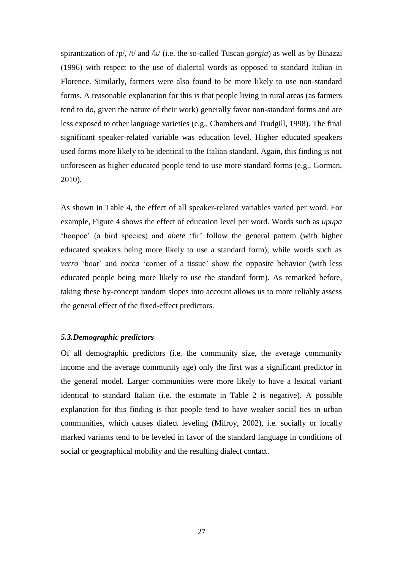spirantization of /p/, /t/ and /k/ (i.e. the so-called Tuscan *gorgia*) as well as by Binazzi (1996) with respect to the use of dialectal words as opposed to standard Italian in Florence. Similarly, farmers were also found to be more likely to use non-standard forms. A reasonable explanation for this is that people living in rural areas (as farmers tend to do, given the nature of their work) generally favor non-standard forms and are less exposed to other language varieties (e.g., Chambers and Trudgill, 1998). The final significant speaker-related variable was education level. Higher educated speakers used forms more likely to be identical to the Italian standard. Again, this finding is not unforeseen as higher educated people tend to use more standard forms (e.g., Gorman, 2010).

As shown in Table 4, the effect of all speaker-related variables varied per word. For example, Figure 4 shows the effect of education level per word. Words such as *upupa*  'hoopoe' (a bird species) and *abete* 'fir' follow the general pattern (with higher educated speakers being more likely to use a standard form), while words such as *verro* 'boar' and *cocca* 'corner of a tissue' show the opposite behavior (with less educated people being more likely to use the standard form). As remarked before, taking these by-concept random slopes into account allows us to more reliably assess the general effect of the fixed-effect predictors.

## *5.3.Demographic predictors*

Of all demographic predictors (i.e. the community size, the average community income and the average community age) only the first was a significant predictor in the general model. Larger communities were more likely to have a lexical variant identical to standard Italian (i.e. the estimate in Table 2 is negative). A possible explanation for this finding is that people tend to have weaker social ties in urban communities, which causes dialect leveling (Milroy, 2002), i.e. socially or locally marked variants tend to be leveled in favor of the standard language in conditions of social or geographical mobility and the resulting dialect contact.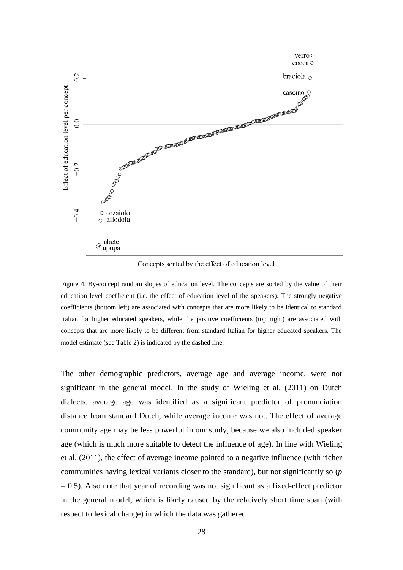

Concepts sorted by the effect of education level

Figure 4. By-concept random slopes of education level. The concepts are sorted by the value of their education level coefficient (i.e. the effect of education level of the speakers). The strongly negative coefficients (bottom left) are associated with concepts that are more likely to be identical to standard Italian for higher educated speakers, while the positive coefficients (top right) are associated with concepts that are more likely to be different from standard Italian for higher educated speakers. The model estimate (see Table 2) is indicated by the dashed line.

The other demographic predictors, average age and average income, were not significant in the general model. In the study of Wieling et al. (2011) on Dutch dialects, average age was identified as a significant predictor of pronunciation distance from standard Dutch, while average income was not. The effect of average community age may be less powerful in our study, because we also included speaker age (which is much more suitable to detect the influence of age). In line with Wieling et al. (2011), the effect of average income pointed to a negative influence (with richer communities having lexical variants closer to the standard), but not significantly so (*p*   $= 0.5$ ). Also note that year of recording was not significant as a fixed-effect predictor in the general model, which is likely caused by the relatively short time span (with respect to lexical change) in which the data was gathered.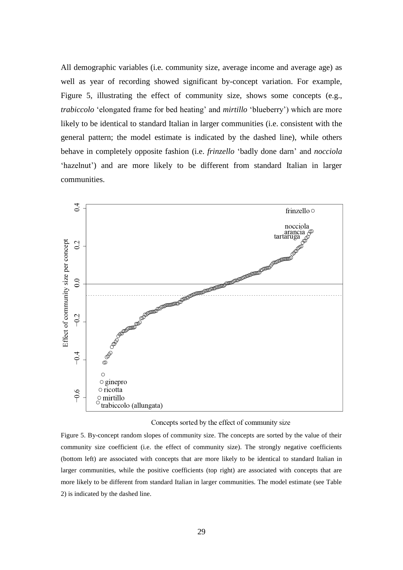All demographic variables (i.e. community size, average income and average age) as well as year of recording showed significant by-concept variation. For example, Figure 5, illustrating the effect of community size, shows some concepts (e.g., *trabiccolo* 'elongated frame for bed heating' and *mirtillo* 'blueberry') which are more likely to be identical to standard Italian in larger communities (i.e. consistent with the general pattern; the model estimate is indicated by the dashed line), while others behave in completely opposite fashion (i.e. *frinzello* 'badly done darn' and *nocciola* 'hazelnut') and are more likely to be different from standard Italian in larger communities.



#### Concepts sorted by the effect of community size

Figure 5. By-concept random slopes of community size. The concepts are sorted by the value of their community size coefficient (i.e. the effect of community size). The strongly negative coefficients (bottom left) are associated with concepts that are more likely to be identical to standard Italian in larger communities, while the positive coefficients (top right) are associated with concepts that are more likely to be different from standard Italian in larger communities. The model estimate (see Table 2) is indicated by the dashed line.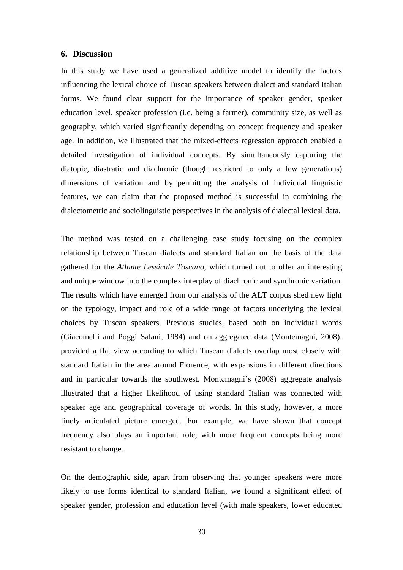## **6. Discussion**

In this study we have used a generalized additive model to identify the factors influencing the lexical choice of Tuscan speakers between dialect and standard Italian forms. We found clear support for the importance of speaker gender, speaker education level, speaker profession (i.e. being a farmer), community size, as well as geography, which varied significantly depending on concept frequency and speaker age. In addition, we illustrated that the mixed-effects regression approach enabled a detailed investigation of individual concepts. By simultaneously capturing the diatopic, diastratic and diachronic (though restricted to only a few generations) dimensions of variation and by permitting the analysis of individual linguistic features, we can claim that the proposed method is successful in combining the dialectometric and sociolinguistic perspectives in the analysis of dialectal lexical data.

The method was tested on a challenging case study focusing on the complex relationship between Tuscan dialects and standard Italian on the basis of the data gathered for the *Atlante Lessicale Toscano*, which turned out to offer an interesting and unique window into the complex interplay of diachronic and synchronic variation. The results which have emerged from our analysis of the ALT corpus shed new light on the typology, impact and role of a wide range of factors underlying the lexical choices by Tuscan speakers. Previous studies, based both on individual words (Giacomelli and Poggi Salani, 1984) and on aggregated data (Montemagni, 2008), provided a flat view according to which Tuscan dialects overlap most closely with standard Italian in the area around Florence, with expansions in different directions and in particular towards the southwest. Montemagni's (2008) aggregate analysis illustrated that a higher likelihood of using standard Italian was connected with speaker age and geographical coverage of words. In this study, however, a more finely articulated picture emerged. For example, we have shown that concept frequency also plays an important role, with more frequent concepts being more resistant to change.

On the demographic side, apart from observing that younger speakers were more likely to use forms identical to standard Italian, we found a significant effect of speaker gender, profession and education level (with male speakers, lower educated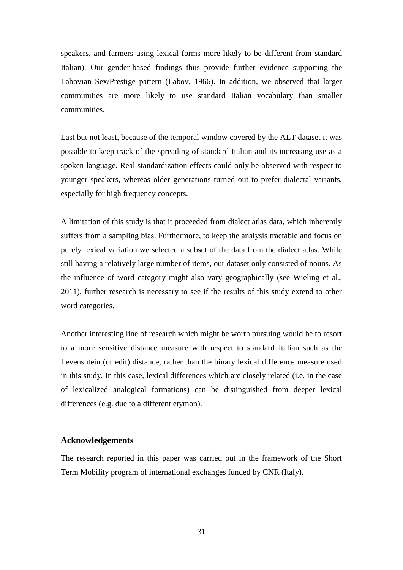speakers, and farmers using lexical forms more likely to be different from standard Italian). Our gender-based findings thus provide further evidence supporting the Labovian Sex/Prestige pattern (Labov, 1966). In addition, we observed that larger communities are more likely to use standard Italian vocabulary than smaller communities.

Last but not least, because of the temporal window covered by the ALT dataset it was possible to keep track of the spreading of standard Italian and its increasing use as a spoken language. Real standardization effects could only be observed with respect to younger speakers, whereas older generations turned out to prefer dialectal variants, especially for high frequency concepts.

A limitation of this study is that it proceeded from dialect atlas data, which inherently suffers from a sampling bias. Furthermore, to keep the analysis tractable and focus on purely lexical variation we selected a subset of the data from the dialect atlas. While still having a relatively large number of items, our dataset only consisted of nouns. As the influence of word category might also vary geographically (see Wieling et al., 2011), further research is necessary to see if the results of this study extend to other word categories.

Another interesting line of research which might be worth pursuing would be to resort to a more sensitive distance measure with respect to standard Italian such as the Levenshtein (or edit) distance, rather than the binary lexical difference measure used in this study. In this case, lexical differences which are closely related (i.e. in the case of lexicalized analogical formations) can be distinguished from deeper lexical differences (e.g. due to a different etymon).

# **Acknowledgements**

The research reported in this paper was carried out in the framework of the Short Term Mobility program of international exchanges funded by CNR (Italy).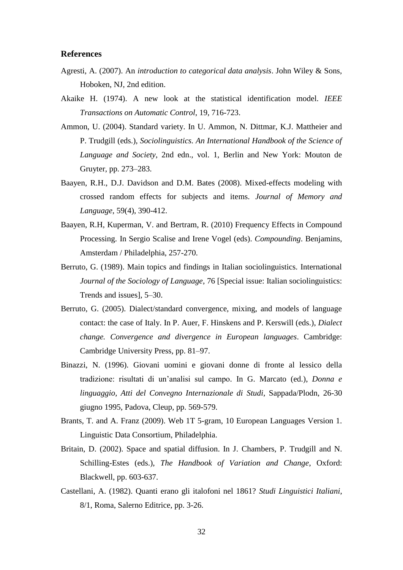## **References**

- Agresti, A. (2007). An *introduction to categorical data analysis*. John Wiley & Sons, Hoboken, NJ, 2nd edition.
- Akaike H. (1974). A new look at the statistical identification model. *IEEE Transactions on Automatic Control*, 19, 716-723.
- Ammon, U. (2004). Standard variety. In U. Ammon, N. Dittmar, K.J. Mattheier and P. Trudgill (eds.), *Sociolinguistics. An International Handbook of the Science of Language and Society*, 2nd edn., vol. 1, Berlin and New York: Mouton de Gruyter, pp. 273–283.
- Baayen, R.H., D.J. Davidson and D.M. Bates (2008). Mixed-effects modeling with crossed random effects for subjects and items. *Journal of Memory and Language*, 59(4), 390-412.
- Baayen, R.H, Kuperman, V. and Bertram, R. (2010) Frequency Effects in Compound Processing. In Sergio Scalise and Irene Vogel (eds). *Compounding*. Benjamins, Amsterdam / Philadelphia, 257-270.
- Berruto, G. (1989). Main topics and findings in Italian sociolinguistics. International *Journal of the Sociology of Language*, 76 [Special issue: Italian sociolinguistics: Trends and issues], 5–30.
- Berruto, G. (2005). Dialect/standard convergence, mixing, and models of language contact: the case of Italy. In P. Auer, F. Hinskens and P. Kerswill (eds.), *Dialect change. Convergence and divergence in European languages*. Cambridge: Cambridge University Press, pp. 81–97.
- Binazzi, N. (1996). Giovani uomini e giovani donne di fronte al lessico della tradizione: risultati di un'analisi sul campo. In G. Marcato (ed.), *Donna e linguaggio, Atti del Convegno Internazionale di Studi*, Sappada/Plodn, 26-30 giugno 1995, Padova, Cleup, pp. 569-579.
- Brants, T. and A. Franz (2009). Web 1T 5-gram, 10 European Languages Version 1. Linguistic Data Consortium, Philadelphia.
- Britain, D. (2002). Space and spatial diffusion. In J. Chambers, P. Trudgill and N. Schilling-Estes (eds.), *The Handbook of Variation and Change*, Oxford: Blackwell, pp. 603-637.
- Castellani, A. (1982). Quanti erano gli italofoni nel 1861? *Studi Linguistici Italiani*, 8/1, Roma, Salerno Editrice, pp. 3-26.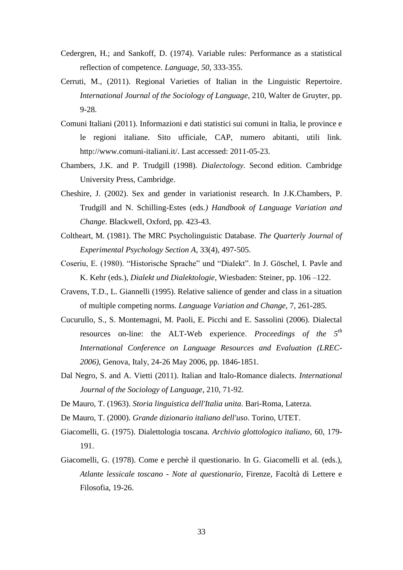- Cedergren, H.; and Sankoff, D. (1974). Variable rules: Performance as a statistical reflection of competence. *Language*, *50*, 333-355.
- Cerruti, M., (2011). Regional Varieties of Italian in the Linguistic Repertoire. *International Journal of the Sociology of Language*, 210, Walter de Gruyter, pp. 9-28.
- Comuni Italiani (2011). Informazioni e dati statistici sui comuni in Italia, le province e le regioni italiane. Sito ufficiale, CAP, numero abitanti, utili link. http://www.comuni-italiani.it/. Last accessed: 2011-05-23.
- Chambers, J.K. and P. Trudgill (1998). *Dialectology*. Second edition. Cambridge University Press, Cambridge.
- Cheshire, J. (2002). Sex and gender in variationist research. In J.K.Chambers, P. Trudgill and N. Schilling-Estes (eds*.) Handbook of Language Variation and Change*. Blackwell, Oxford, pp. 423-43.
- Coltheart, M. (1981). The MRC Psycholinguistic Database. *The Quarterly Journal of Experimental Psychology Section A*, 33(4), 497-505.
- Coseriu, E. (1980). "Historische Sprache" und "Dialekt". In J. Göschel, I. Pavle and K. Kehr (eds.), *Dialekt und Dialektologie*, Wiesbaden: Steiner, pp. 106 –122.
- Cravens, T.D., L. Giannelli (1995). Relative salience of gender and class in a situation of multiple competing norms. *Language Variation and Change*, 7, 261-285.
- Cucurullo, S., S. Montemagni, M. Paoli, E. Picchi and E. Sassolini (2006). Dialectal resources on-line: the ALT-Web experience. *Proceedings of the 5 th International Conference on Language Resources and Evaluation (LREC-2006)*, Genova, Italy, 24-26 May 2006, pp. 1846-1851.
- Dal Negro, S. and A. Vietti (2011). [Italian and Italo-Romance dialects.](http://ejournals.ebsco.com/Article.asp?ContributionID=25330109) *International Journal of the Sociology of Language*, 210, 71-92.
- De Mauro, T. (1963). *Storia linguistica dell'Italia unita*. Bari-Roma, Laterza.
- De Mauro, T. (2000). *Grande dizionario italiano dell'uso*. Torino, UTET.
- Giacomelli, G. (1975). Dialettologia toscana. *Archivio glottologico italiano*, 60, 179- 191.
- Giacomelli, G. (1978). Come e perchè il questionario. In G. Giacomelli et al. (eds.), *Atlante lessicale toscano - Note al questionario*, Firenze, Facoltà di Lettere e Filosofia, 19-26.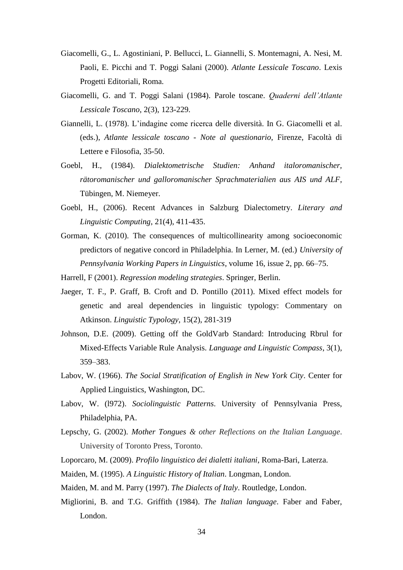- Giacomelli, G., L. Agostiniani, P. Bellucci, L. Giannelli, S. Montemagni, A. Nesi, M. Paoli, E. Picchi and T. Poggi Salani (2000). *Atlante Lessicale Toscano*. Lexis Progetti Editoriali, Roma.
- Giacomelli, G. and T. Poggi Salani (1984). Parole toscane. *Quaderni dell'Atlante Lessicale Toscano*, 2(3), 123-229.
- Giannelli, L. (1978). L'indagine come ricerca delle diversità. In G. Giacomelli et al. (eds.), *Atlante lessicale toscano - Note al questionario*, Firenze, Facoltà di Lettere e Filosofia, 35-50.
- Goebl, H., (1984). *Dialektometrische Studien: Anhand italoromanischer, rätoromanischer und galloromanischer Sprachmaterialien aus AIS und ALF*, Tübingen, M. Niemeyer.
- Goebl, H., (2006). Recent Advances in Salzburg Dialectometry. *Literary and Linguistic Computing*, 21(4), 411-435.
- Gorman, K. (2010). The consequences of multicollinearity among socioeconomic predictors of negative concord in Philadelphia. In Lerner, M. (ed.) *University of Pennsylvania Working Papers in Linguistics*, volume 16, issue 2, pp. 66–75.
- Harrell, F (2001). *Regression modeling strategies*. Springer, Berlin.
- Jaeger, T. F., P. Graff, B. Croft and D. Pontillo (2011). Mixed effect models for genetic and areal dependencies in linguistic typology: Commentary on Atkinson. *Linguistic Typology*, 15(2), 281-319
- Johnson, D.E. (2009). Getting off the GoldVarb Standard: Introducing Rbrul for Mixed-Effects Variable Rule Analysis. *Language and Linguistic Compass*, 3(1), 359–383.
- Labov, W. (1966). *The Social Stratification of English in New York City*. Center for Applied Linguistics, Washington, DC.
- Labov, W. (l972). *Sociolinguistic Patterns*. University of Pennsylvania Press, Philadelphia, PA.
- Lepschy, G. (2002). *Mother Tongues & other Reflections on the Italian Language*. University of Toronto Press, Toronto.
- Loporcaro, M. (2009). *Profilo linguistico dei dialetti italiani*, Roma-Bari, Laterza.
- Maiden, M. (1995). *A Linguistic History of Italian*. Longman, London.
- Maiden, M. and M. Parry (1997). *The Dialects of Italy*. Routledge, London.
- Migliorini, B. and T.G. Griffith (1984). *The Italian language*. Faber and Faber, London.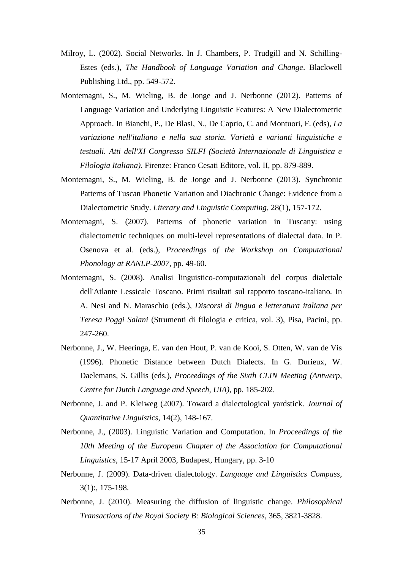- Milroy, L. (2002). Social Networks. In J. Chambers, P. Trudgill and N. Schilling-Estes (eds.), *The Handbook of Language Variation and Change*. Blackwell Publishing Ltd., pp. 549-572.
- Montemagni, S., M. Wieling, B. de Jonge and J. Nerbonne (2012). Patterns of Language Variation and Underlying Linguistic Features: A New Dialectometric Approach. In Bianchi, P., De Blasi, N., De Caprio, C. and Montuori, F. (eds), *La variazione nell'italiano e nella sua storia. Varietà e varianti linguistiche e testuali. Atti dell'XI Congresso SILFI (Società Internazionale di Linguistica e Filologia Italiana)*. Firenze: Franco Cesati Editore, vol. II, pp. 879-889.
- Montemagni, S., M. Wieling, B. de Jonge and J. Nerbonne (2013). Synchronic Patterns of Tuscan Phonetic Variation and Diachronic Change: Evidence from a Dialectometric Study. *Literary and Linguistic Computing,* 28(1), 157-172.
- Montemagni, S. (2007). Patterns of phonetic variation in Tuscany: using dialectometric techniques on multi-level representations of dialectal data. In P. Osenova et al. (eds.), *Proceedings of the Workshop on Computational Phonology at RANLP-2007*, pp. 49-60.
- Montemagni, S. (2008). Analisi linguistico-computazionali del corpus dialettale dell'Atlante Lessicale Toscano. Primi risultati sul rapporto toscano-italiano*.* In A. Nesi and N. Maraschio (eds.), *Discorsi di lingua e letteratura italiana per Teresa Poggi Salani* (Strumenti di filologia e critica, vol. 3), Pisa, Pacini, pp. 247-260.
- Nerbonne, J., W. Heeringa, E. van den Hout, P. van de Kooi, S. Otten, W. van de Vis (1996). Phonetic Distance between Dutch Dialects. In G. Durieux, W. Daelemans, S. Gillis (eds.), *Proceedings of the Sixth CLIN Meeting (Antwerp, Centre for Dutch Language and Speech, UIA)*, pp. 185-202.
- Nerbonne, J. and P. Kleiweg (2007). Toward a dialectological yardstick. *Journal of Quantitative Linguistics*, 14(2), 148-167.
- Nerbonne, J., (2003). Linguistic Variation and Computation. In *Proceedings of the 10th Meeting of the European Chapter of the Association for Computational Linguistics*, 15-17 April 2003, Budapest, Hungary, pp. 3-10
- Nerbonne, J. (2009). Data-driven dialectology. *Language and Linguistics Compass*, 3(1):, 175-198.
- Nerbonne, J. (2010). Measuring the diffusion of linguistic change. *Philosophical Transactions of the Royal Society B: Biological Sciences*, 365, 3821-3828.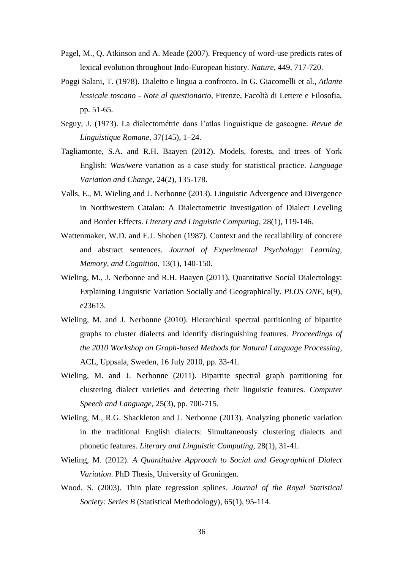- Pagel, M., Q. Atkinson and A. Meade (2007). Frequency of word-use predicts rates of lexical evolution throughout Indo-European history. *Nature*, 449, 717-720.
- Poggi Salani, T. (1978). Dialetto e lingua a confronto. In G. Giacomelli et al., *Atlante lessicale toscano - Note al questionario*, Firenze, Facoltà di Lettere e Filosofia, pp. 51-65.
- Seguy, J. (1973). La dialectométrie dans l'atlas linguistique de gascogne. *Revue de Linguistique Romane*, 37(145), 1–24.
- Tagliamonte, S.A. and R.H. Baayen (2012). Models, forests, and trees of York English: *Was/were* variation as a case study for statistical practice. *Language Variation and Change*, 24(2), 135-178.
- Valls, E., M. Wieling and J. Nerbonne (2013). Linguistic Advergence and Divergence in Northwestern Catalan: A Dialectometric Investigation of Dialect Leveling and Border Effects. *Literary and Linguistic Computing*, 28(1), 119-146.
- Wattenmaker, W.D. and E.J. Shoben (1987). Context and the recallability of concrete and abstract sentences. *Journal of Experimental Psychology: Learning, Memory, and Cognition*, 13(1), 140-150.
- Wieling, M., J. Nerbonne and R.H. Baayen (2011). Quantitative Social Dialectology: Explaining Linguistic Variation Socially and Geographically. *PLOS ONE*, 6(9), e23613.
- Wieling, M. and J. Nerbonne (2010). Hierarchical spectral partitioning of bipartite graphs to cluster dialects and identify distinguishing features. *Proceedings of the 2010 Workshop on Graph-based Methods for Natural Language Processing*, ACL, Uppsala, Sweden, 16 July 2010, pp. 33-41.
- Wieling, M. and J. Nerbonne (2011). Bipartite spectral graph partitioning for clustering dialect varieties and detecting their linguistic features. *Computer Speech and Language*, 25(3), pp. 700-715.
- Wieling, M., R.G. Shackleton and J. Nerbonne (2013). Analyzing phonetic variation in the traditional English dialects: Simultaneously clustering dialects and phonetic features. *Literary and Linguistic Computing*, 28(1), 31-41.
- Wieling, M. (2012). *A Quantitative Approach to Social and Geographical Dialect Variation*. PhD Thesis, University of Groningen.
- Wood, S. (2003). Thin plate regression splines. *Journal of the Royal Statistical Society: Series B* (Statistical Methodology), 65(1), 95-114.